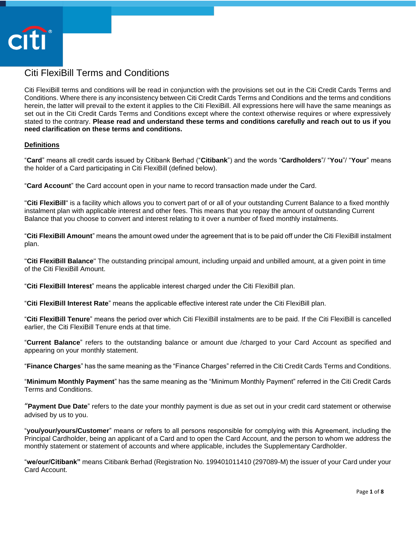

# Citi FlexiBill Terms and Conditions

Citi FlexiBill terms and conditions will be read in conjunction with the provisions set out in the Citi Credit Cards Terms and Conditions. Where there is any inconsistency between Citi Credit Cards Terms and Conditions and the terms and conditions herein, the latter will prevail to the extent it applies to the Citi FlexiBill. All expressions here will have the same meanings as set out in the Citi Credit Cards Terms and Conditions except where the context otherwise requires or where expressively stated to the contrary. **Please read and understand these terms and conditions carefully and reach out to us if you need clarification on these terms and conditions.**

## **Definitions**

"**Card**" means all credit cards issued by Citibank Berhad ("**Citibank**") and the words "**Cardholders**"/ "**You**"/ "**Your**" means the holder of a Card participating in Citi FlexiBill (defined below).

"**Card Account**" the Card account open in your name to record transaction made under the Card.

"**Citi FlexiBill**" is a facility which allows you to convert part of or all of your outstanding Current Balance to a fixed monthly instalment plan with applicable interest and other fees. This means that you repay the amount of outstanding Current Balance that you choose to convert and interest relating to it over a number of fixed monthly instalments.

"**Citi FlexiBill Amount**" means the amount owed under the agreement that is to be paid off under the Citi FlexiBill instalment plan.

"**Citi FlexiBill Balance**" The outstanding principal amount, including unpaid and unbilled amount, at a given point in time of the Citi FlexiBill Amount.

"**Citi FlexiBill Interest**" means the applicable interest charged under the Citi FlexiBill plan.

"**Citi FlexiBill Interest Rate**" means the applicable effective interest rate under the Citi FlexiBill plan.

"**Citi FlexiBill Tenure**" means the period over which Citi FlexiBill instalments are to be paid. If the Citi FlexiBill is cancelled earlier, the Citi FlexiBill Tenure ends at that time.

"**Current Balance**" refers to the outstanding balance or amount due /charged to your Card Account as specified and appearing on your monthly statement.

"**Finance Charges**" has the same meaning as the "Finance Charges" referred in the Citi Credit Cards Terms and Conditions.

"**Minimum Monthly Payment**" has the same meaning as the "Minimum Monthly Payment" referred in the Citi Credit Cards Terms and Conditions.

"**Payment Due Date**" refers to the date your monthly payment is due as set out in your credit card statement or otherwise advised by us to you.

"**you/your/yours/Customer**" means or refers to all persons responsible for complying with this Agreement, including the Principal Cardholder, being an applicant of a Card and to open the Card Account, and the person to whom we address the monthly statement or statement of accounts and where applicable, includes the Supplementary Cardholder.

"**we/our/Citibank"** means Citibank Berhad (Registration No. 199401011410 (297089-M) the issuer of your Card under your Card Account.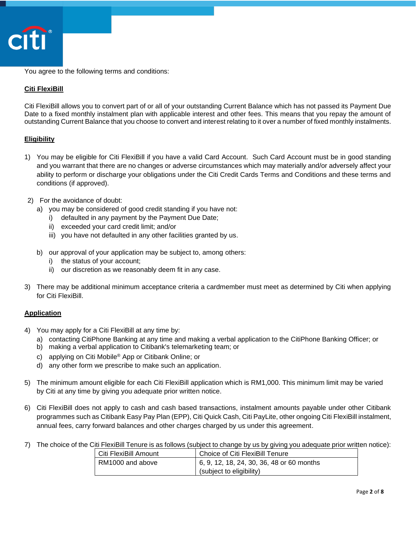

You agree to the following terms and conditions:

## **Citi FlexiBill**

Citi FlexiBill allows you to convert part of or all of your outstanding Current Balance which has not passed its Payment Due Date to a fixed monthly instalment plan with applicable interest and other fees. This means that you repay the amount of outstanding Current Balance that you choose to convert and interest relating to it over a number of fixed monthly instalments.

## **Eligibility**

- 1) You may be eligible for Citi FlexiBill if you have a valid Card Account. Such Card Account must be in good standing and you warrant that there are no changes or adverse circumstances which may materially and/or adversely affect your ability to perform or discharge your obligations under the Citi Credit Cards Terms and Conditions and these terms and conditions (if approved).
- 2) For the avoidance of doubt:
	- a) you may be considered of good credit standing if you have not:
		- i) defaulted in any payment by the Payment Due Date;
		- ii) exceeded your card credit limit; and/or
		- iii) you have not defaulted in any other facilities granted by us.
	- b) our approval of your application may be subject to, among others:
		- i) the status of your account;
		- ii) our discretion as we reasonably deem fit in any case.
- 3) There may be additional minimum acceptance criteria a cardmember must meet as determined by Citi when applying for Citi FlexiBill.

## **Application**

- 4) You may apply for a Citi FlexiBill at any time by:
	- a) contacting CitiPhone Banking at any time and making a verbal application to the CitiPhone Banking Officer; or
	- b) making a verbal application to Citibank's telemarketing team; or
	- c) applying on Citi Mobile® App or Citibank Online; or
	- d) any other form we prescribe to make such an application.
- 5) The minimum amount eligible for each Citi FlexiBill application which is RM1,000. This minimum limit may be varied by Citi at any time by giving you adequate prior written notice.
- 6) Citi FlexiBill does not apply to cash and cash based transactions, instalment amounts payable under other Citibank programmes such as Citibank Easy Pay Plan (EPP), Citi Quick Cash, Citi PayLite, other ongoing Citi FlexiBill instalment, annual fees, carry forward balances and other charges charged by us under this agreement.
- 7) The choice of the Citi FlexiBill Tenure is as follows (subject to change by us by giving you adequate prior written notice):

| Citi FlexiBill Amount | Choice of Citi FlexiBill Tenure           |
|-----------------------|-------------------------------------------|
| RM1000 and above      | 6, 9, 12, 18, 24, 30, 36, 48 or 60 months |
|                       | (subject to eligibility)                  |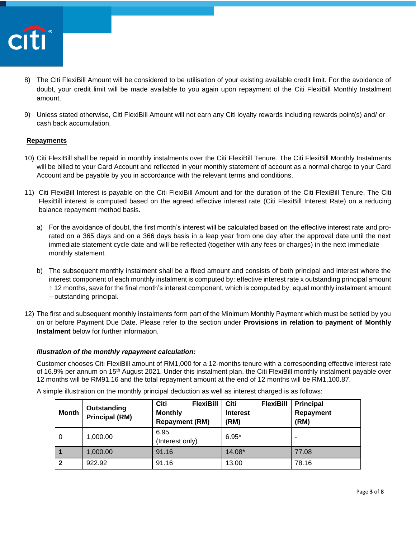

- 8) The Citi FlexiBill Amount will be considered to be utilisation of your existing available credit limit. For the avoidance of doubt, your credit limit will be made available to you again upon repayment of the Citi FlexiBill Monthly Instalment amount.
- 9) Unless stated otherwise, Citi FlexiBill Amount will not earn any Citi loyalty rewards including rewards point(s) and/ or cash back accumulation.

## **Repayments**

- 10) Citi FlexiBill shall be repaid in monthly instalments over the Citi FlexiBill Tenure. The Citi FlexiBill Monthly Instalments will be billed to your Card Account and reflected in your monthly statement of account as a normal charge to your Card Account and be payable by you in accordance with the relevant terms and conditions.
- 11) Citi FlexiBill Interest is payable on the Citi FlexiBill Amount and for the duration of the Citi FlexiBill Tenure. The Citi FlexiBill interest is computed based on the agreed effective interest rate (Citi FlexiBill Interest Rate) on a reducing balance repayment method basis.
	- a) For the avoidance of doubt, the first month's interest will be calculated based on the effective interest rate and prorated on a 365 days and on a 366 days basis in a leap year from one day after the approval date until the next immediate statement cycle date and will be reflected (together with any fees or charges) in the next immediate monthly statement.
	- b) The subsequent monthly instalment shall be a fixed amount and consists of both principal and interest where the interest component of each monthly instalment is computed by: effective interest rate x outstanding principal amount ÷ 12 months, save for the final month's interest component, which is computed by: equal monthly instalment amount – outstanding principal.
- 12) The first and subsequent monthly instalments form part of the Minimum Monthly Payment which must be settled by you on or before Payment Due Date. Please refer to the section under **Provisions in relation to payment of Monthly Instalment** below for further information.

## *Illustration of the monthly repayment calculation:*

Customer chooses Citi FlexiBill amount of RM1,000 for a 12-months tenure with a corresponding effective interest rate of 16.9% per annum on 15th August 2021. Under this instalment plan, the Citi FlexiBill monthly instalment payable over 12 months will be RM91.16 and the total repayment amount at the end of 12 months will be RM1,100.87.

| <b>Month</b> | Outstanding<br><b>Principal (RM)</b> | Citi<br><b>FlexiBill</b><br><b>Monthly</b><br><b>Repayment (RM)</b> | Citi<br><b>FlexiBill</b><br><b>Interest</b><br>(RM) | <b>Principal</b><br>Repayment<br>(RM) |
|--------------|--------------------------------------|---------------------------------------------------------------------|-----------------------------------------------------|---------------------------------------|
| 0            | 1,000.00                             | 6.95<br>(Interest only)                                             | $6.95*$                                             |                                       |
|              | 1.000.00                             | 91.16                                                               | 14.08*                                              | 77.08                                 |
| $\mathbf{2}$ | 922.92                               | 91.16                                                               | 13.00                                               | 78.16                                 |

A simple illustration on the monthly principal deduction as well as interest charged is as follows: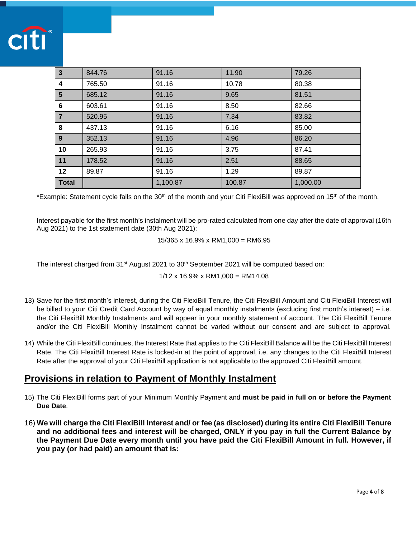

| $\mathbf{3}$    | 844.76 | 91.16    | 11.90  | 79.26    |
|-----------------|--------|----------|--------|----------|
| 4               | 765.50 | 91.16    | 10.78  | 80.38    |
| $5\phantom{.0}$ | 685.12 | 91.16    | 9.65   | 81.51    |
| 6               | 603.61 | 91.16    | 8.50   | 82.66    |
| $\overline{7}$  | 520.95 | 91.16    | 7.34   | 83.82    |
| 8               | 437.13 | 91.16    | 6.16   | 85.00    |
| 9 <sup>°</sup>  | 352.13 | 91.16    | 4.96   | 86.20    |
| 10              | 265.93 | 91.16    | 3.75   | 87.41    |
| 11              | 178.52 | 91.16    | 2.51   | 88.65    |
| 12              | 89.87  | 91.16    | 1.29   | 89.87    |
| <b>Total</b>    |        | 1,100.87 | 100.87 | 1,000.00 |

\*Example: Statement cycle falls on the 30<sup>th</sup> of the month and your Citi FlexiBill was approved on 15<sup>th</sup> of the month.

Interest payable for the first month's instalment will be pro-rated calculated from one day after the date of approval (16th Aug 2021) to the 1st statement date (30th Aug 2021):

15/365 x 16.9% x RM1,000 = RM6.95

The interest charged from 31<sup>st</sup> August 2021 to 30<sup>th</sup> September 2021 will be computed based on:

 $1/12 \times 16.9\% \times RM1,000 = RM14.08$ 

- 13) Save for the first month's interest, during the Citi FlexiBill Tenure, the Citi FlexiBill Amount and Citi FlexiBill Interest will be billed to your Citi Credit Card Account by way of equal monthly instalments (excluding first month's interest) – i.e. the Citi FlexiBill Monthly Instalments and will appear in your monthly statement of account. The Citi FlexiBill Tenure and/or the Citi FlexiBill Monthly Instalment cannot be varied without our consent and are subject to approval.
- 14) While the Citi FlexiBill continues, the Interest Rate that applies to the Citi FlexiBill Balance will be the Citi FlexiBill Interest Rate. The Citi FlexiBill Interest Rate is locked-in at the point of approval, i.e. any changes to the Citi FlexiBill Interest Rate after the approval of your Citi FlexiBill application is not applicable to the approved Citi FlexiBill amount.

## **Provisions in relation to Payment of Monthly Instalment**

- 15) The Citi FlexiBill forms part of your Minimum Monthly Payment and **must be paid in full on or before the Payment Due Date**.
- 16) **We will charge the Citi FlexiBill Interest and/ or fee (as disclosed) during its entire Citi FlexiBill Tenure and no additional fees and interest will be charged, ONLY if you pay in full the Current Balance by the Payment Due Date every month until you have paid the Citi FlexiBill Amount in full. However, if you pay (or had paid) an amount that is:**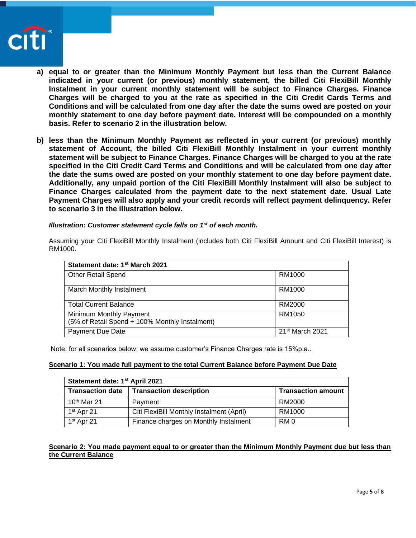

- **a) equal to or greater than the Minimum Monthly Payment but less than the Current Balance indicated in your current (or previous) monthly statement, the billed Citi FlexiBill Monthly Instalment in your current monthly statement will be subject to Finance Charges. Finance Charges will be charged to you at the rate as specified in the Citi Credit Cards Terms and Conditions and will be calculated from one day after the date the sums owed are posted on your monthly statement to one day before payment date. Interest will be compounded on a monthly basis. Refer to scenario 2 in the illustration below.**
- **b) less than the Minimum Monthly Payment as reflected in your current (or previous) monthly statement of Account, the billed Citi FlexiBill Monthly Instalment in your current monthly statement will be subject to Finance Charges. Finance Charges will be charged to you at the rate specified in the Citi Credit Card Terms and Conditions and will be calculated from one day after the date the sums owed are posted on your monthly statement to one day before payment date. Additionally, any unpaid portion of the Citi FlexiBill Monthly Instalment will also be subject to Finance Charges calculated from the payment date to the next statement date. Usual Late Payment Charges will also apply and your credit records will reflect payment delinquency. Refer to scenario 3 in the illustration below.**

### *Illustration: Customer statement cycle falls on 1st of each month.*

Assuming your Citi FlexiBill Monthly Instalment (includes both Citi FlexiBill Amount and Citi FlexiBill Interest) is RM1000.

| Statement date: 1 <sup>st</sup> March 2021                                |                             |
|---------------------------------------------------------------------------|-----------------------------|
| <b>Other Retail Spend</b>                                                 | RM1000                      |
| March Monthly Instalment                                                  | RM1000                      |
| <b>Total Current Balance</b>                                              | RM2000                      |
| Minimum Monthly Payment<br>(5% of Retail Spend + 100% Monthly Instalment) | RM1050                      |
| Payment Due Date                                                          | 21 <sup>st</sup> March 2021 |

Note: for all scenarios below, we assume customer's Finance Charges rate is 15%p.a..

#### **Scenario 1: You made full payment to the total Current Balance before Payment Due Date**

| Statement date: 1st April 2021 |                                           |                           |  |
|--------------------------------|-------------------------------------------|---------------------------|--|
| <b>Transaction date</b>        | <b>Transaction description</b>            | <b>Transaction amount</b> |  |
| $10th$ Mar 21                  | Payment                                   | RM2000                    |  |
| $1st$ Apr 21                   | Citi FlexiBill Monthly Instalment (April) | RM1000                    |  |
| $1st$ Apr 21                   | Finance charges on Monthly Instalment     | RM 0                      |  |

## **Scenario 2: You made payment equal to or greater than the Minimum Monthly Payment due but less than the Current Balance**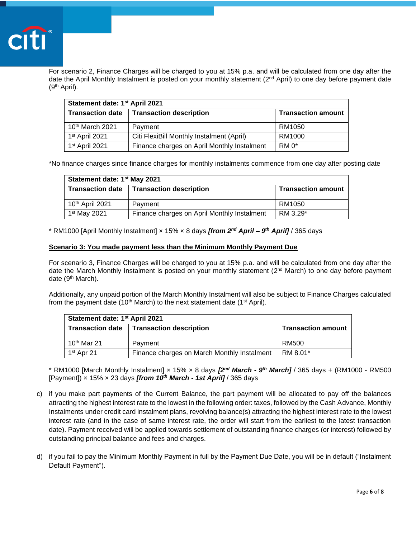

For scenario 2, Finance Charges will be charged to you at 15% p.a. and will be calculated from one day after the date the April Monthly Instalment is posted on your monthly statement (2nd April) to one day before payment date (9th April).

| Statement date: 1 <sup>st</sup> April 2021 |                                             |                           |  |
|--------------------------------------------|---------------------------------------------|---------------------------|--|
| <b>Transaction date</b>                    | <b>Transaction description</b>              | <b>Transaction amount</b> |  |
| $10th$ March 2021                          | Payment                                     | RM1050                    |  |
| 1 <sup>st</sup> April 2021                 | Citi FlexiBill Monthly Instalment (April)   | RM1000                    |  |
| 1 <sup>st</sup> April 2021                 | Finance charges on April Monthly Instalment | RM <sub>0</sub>           |  |

\*No finance charges since finance charges for monthly instalments commence from one day after posting date

| Statement date: 1 <sup>st</sup> May 2021 |                                             |                           |
|------------------------------------------|---------------------------------------------|---------------------------|
| <b>Transaction date</b>                  | <b>Transaction description</b>              | <b>Transaction amount</b> |
| 10th April 2021                          | Payment                                     | RM1050                    |
| 1 <sup>st</sup> May 2021                 | Finance charges on April Monthly Instalment | RM 3.29*                  |

\* RM1000 [April Monthly Instalment] × 15% × 8 days *[from 2nd April – 9 th April]* / 365 days

### **Scenario 3: You made payment less than the Minimum Monthly Payment Due**

For scenario 3, Finance Charges will be charged to you at 15% p.a. and will be calculated from one day after the date the March Monthly Instalment is posted on your monthly statement (2<sup>nd</sup> March) to one day before payment date (9th March).

Additionally, any unpaid portion of the March Monthly Instalment will also be subject to Finance Charges calculated from the payment date (10<sup>th</sup> March) to the next statement date (1<sup>st</sup> April).

| Statement date: 1 <sup>st</sup> April 2021 |                                             |                           |
|--------------------------------------------|---------------------------------------------|---------------------------|
|                                            | Transaction date   Transaction description  | <b>Transaction amount</b> |
| $10th$ Mar 21                              | Payment                                     | RM500                     |
| $1st$ Apr 21                               | Finance charges on March Monthly Instalment | RM 8.01*                  |

\* RM1000 [March Monthly Instalment] × 15% × 8 days *[2nd March - 9 th March]* / 365 days + (RM1000 - RM500 [Payment]) × 15% × 23 days *[from 10th March - 1st April]* / 365 days

- c) if you make part payments of the Current Balance, the part payment will be allocated to pay off the balances attracting the highest interest rate to the lowest in the following order: taxes, followed by the Cash Advance, Monthly Instalments under credit card instalment plans, revolving balance(s) attracting the highest interest rate to the lowest interest rate (and in the case of same interest rate, the order will start from the earliest to the latest transaction date). Payment received will be applied towards settlement of outstanding finance charges (or interest) followed by outstanding principal balance and fees and charges.
- d) if you fail to pay the Minimum Monthly Payment in full by the Payment Due Date, you will be in default ("Instalment Default Payment").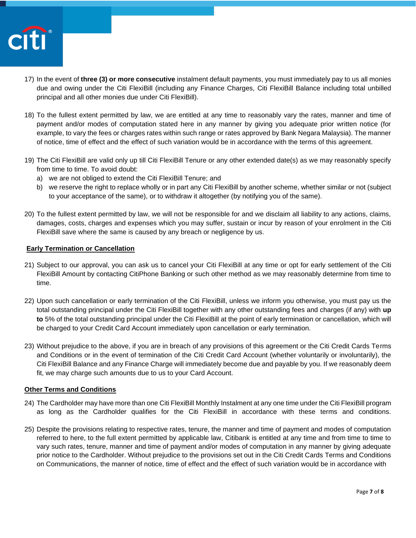

- 17) In the event of **three (3) or more consecutive** instalment default payments, you must immediately pay to us all monies due and owing under the Citi FlexiBill (including any Finance Charges, Citi FlexiBill Balance including total unbilled principal and all other monies due under Citi FlexiBill).
- 18) To the fullest extent permitted by law, we are entitled at any time to reasonably vary the rates, manner and time of payment and/or modes of computation stated here in any manner by giving you adequate prior written notice (for example, to vary the fees or charges rates within such range or rates approved by Bank Negara Malaysia). The manner of notice, time of effect and the effect of such variation would be in accordance with the terms of this agreement.
- 19) The Citi FlexiBill are valid only up till Citi FlexiBill Tenure or any other extended date(s) as we may reasonably specify from time to time. To avoid doubt:
	- a) we are not obliged to extend the Citi FlexiBill Tenure; and
	- b) we reserve the right to replace wholly or in part any Citi FlexiBill by another scheme, whether similar or not (subject to your acceptance of the same), or to withdraw it altogether (by notifying you of the same).
- 20) To the fullest extent permitted by law, we will not be responsible for and we disclaim all liability to any actions, claims, damages, costs, charges and expenses which you may suffer, sustain or incur by reason of your enrolment in the Citi FlexiBill save where the same is caused by any breach or negligence by us.

## **Early Termination or Cancellation**

- 21) Subject to our approval, you can ask us to cancel your Citi FlexiBill at any time or opt for early settlement of the Citi FlexiBill Amount by contacting CitiPhone Banking or such other method as we may reasonably determine from time to time.
- 22) Upon such cancellation or early termination of the Citi FlexiBill, unless we inform you otherwise, you must pay us the total outstanding principal under the Citi FlexiBill together with any other outstanding fees and charges (if any) with **up to** 5% of the total outstanding principal under the Citi FlexiBill at the point of early termination or cancellation, which will be charged to your Credit Card Account immediately upon cancellation or early termination.
- 23) Without prejudice to the above, if you are in breach of any provisions of this agreement or the Citi Credit Cards Terms and Conditions or in the event of termination of the Citi Credit Card Account (whether voluntarily or involuntarily), the Citi FlexiBill Balance and any Finance Charge will immediately become due and payable by you. If we reasonably deem fit, we may charge such amounts due to us to your Card Account.

## **Other Terms and Conditions**

- 24) The Cardholder may have more than one Citi FlexiBill Monthly Instalment at any one time under the Citi FlexiBill program as long as the Cardholder qualifies for the Citi FlexiBill in accordance with these terms and conditions.
- 25) Despite the provisions relating to respective rates, tenure, the manner and time of payment and modes of computation referred to here, to the full extent permitted by applicable law, Citibank is entitled at any time and from time to time to vary such rates, tenure, manner and time of payment and/or modes of computation in any manner by giving adequate prior notice to the Cardholder. Without prejudice to the provisions set out in the Citi Credit Cards Terms and Conditions on Communications, the manner of notice, time of effect and the effect of such variation would be in accordance with